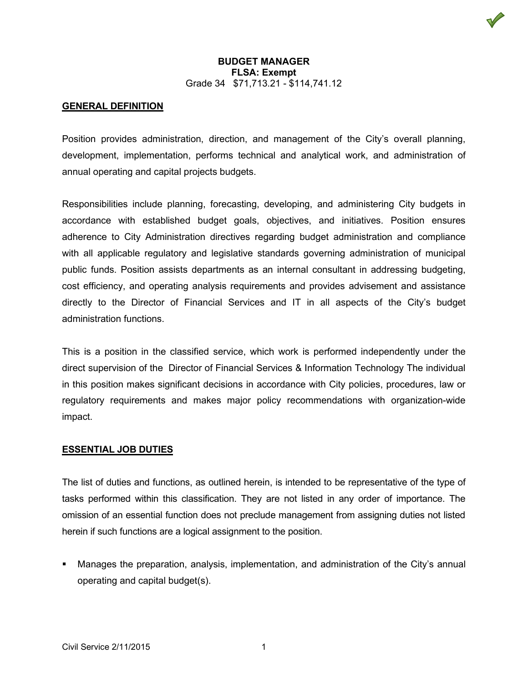

## **GENERAL DEFINITION**

Position provides administration, direction, and management of the City's overall planning, development, implementation, performs technical and analytical work, and administration of annual operating and capital projects budgets.

Responsibilities include planning, forecasting, developing, and administering City budgets in accordance with established budget goals, objectives, and initiatives. Position ensures adherence to City Administration directives regarding budget administration and compliance with all applicable regulatory and legislative standards governing administration of municipal public funds. Position assists departments as an internal consultant in addressing budgeting, cost efficiency, and operating analysis requirements and provides advisement and assistance directly to the Director of Financial Services and IT in all aspects of the City's budget administration functions.

This is a position in the classified service, which work is performed independently under the direct supervision of the Director of Financial Services & Information Technology The individual in this position makes significant decisions in accordance with City policies, procedures, law or regulatory requirements and makes major policy recommendations with organization-wide impact.

## **ESSENTIAL JOB DUTIES**

The list of duties and functions, as outlined herein, is intended to be representative of the type of tasks performed within this classification. They are not listed in any order of importance. The omission of an essential function does not preclude management from assigning duties not listed herein if such functions are a logical assignment to the position.

 Manages the preparation, analysis, implementation, and administration of the City's annual operating and capital budget(s).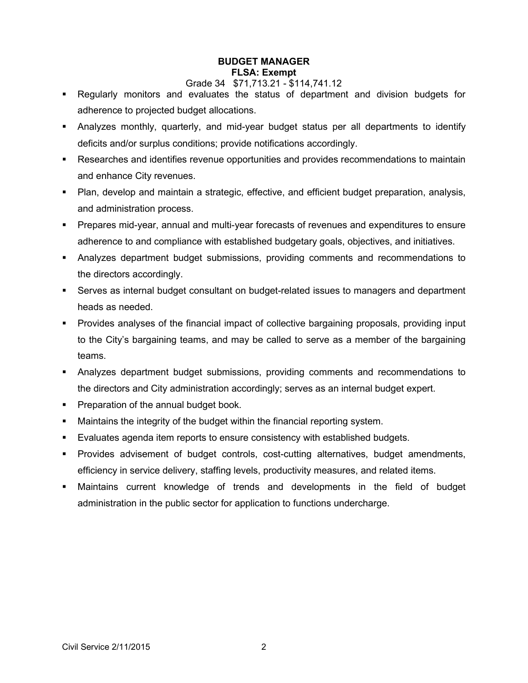# **BUDGET MANAGER FLSA: Exempt**

## Grade 34 \$71,713.21 - \$114,741.12

- Regularly monitors and evaluates the status of department and division budgets for adherence to projected budget allocations.
- Analyzes monthly, quarterly, and mid-year budget status per all departments to identify deficits and/or surplus conditions; provide notifications accordingly.
- Researches and identifies revenue opportunities and provides recommendations to maintain and enhance City revenues.
- Plan, develop and maintain a strategic, effective, and efficient budget preparation, analysis, and administration process.
- Prepares mid-year, annual and multi-year forecasts of revenues and expenditures to ensure adherence to and compliance with established budgetary goals, objectives, and initiatives.
- Analyzes department budget submissions, providing comments and recommendations to the directors accordingly.
- Serves as internal budget consultant on budget-related issues to managers and department heads as needed.
- Provides analyses of the financial impact of collective bargaining proposals, providing input to the City's bargaining teams, and may be called to serve as a member of the bargaining teams.
- Analyzes department budget submissions, providing comments and recommendations to the directors and City administration accordingly; serves as an internal budget expert.
- **Preparation of the annual budget book.**
- Maintains the integrity of the budget within the financial reporting system.
- Evaluates agenda item reports to ensure consistency with established budgets.
- Provides advisement of budget controls, cost-cutting alternatives, budget amendments, efficiency in service delivery, staffing levels, productivity measures, and related items.
- Maintains current knowledge of trends and developments in the field of budget administration in the public sector for application to functions undercharge.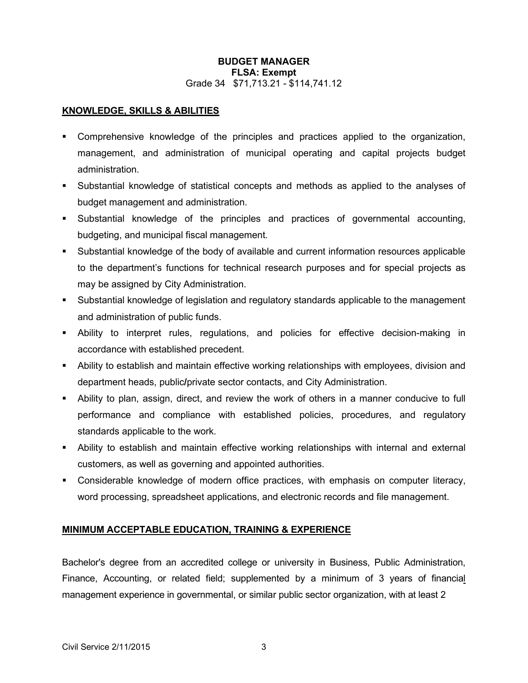## **KNOWLEDGE, SKILLS & ABILITIES**

- Comprehensive knowledge of the principles and practices applied to the organization, management, and administration of municipal operating and capital projects budget administration.
- Substantial knowledge of statistical concepts and methods as applied to the analyses of budget management and administration.
- Substantial knowledge of the principles and practices of governmental accounting, budgeting, and municipal fiscal management.
- Substantial knowledge of the body of available and current information resources applicable to the department's functions for technical research purposes and for special projects as may be assigned by City Administration.
- Substantial knowledge of legislation and regulatory standards applicable to the management and administration of public funds.
- Ability to interpret rules, regulations, and policies for effective decision-making in accordance with established precedent.
- Ability to establish and maintain effective working relationships with employees, division and department heads, public**/**private sector contacts, and City Administration.
- Ability to plan, assign, direct, and review the work of others in a manner conducive to full performance and compliance with established policies, procedures, and regulatory standards applicable to the work.
- Ability to establish and maintain effective working relationships with internal and external customers, as well as governing and appointed authorities.
- Considerable knowledge of modern office practices, with emphasis on computer literacy, word processing, spreadsheet applications, and electronic records and file management.

# **MINIMUM ACCEPTABLE EDUCATION, TRAINING & EXPERIENCE**

Bachelor's degree from an accredited college or university in Business, Public Administration, Finance, Accounting, or related field; supplemented by a minimum of 3 years of financial management experience in governmental, or similar public sector organization, with at least 2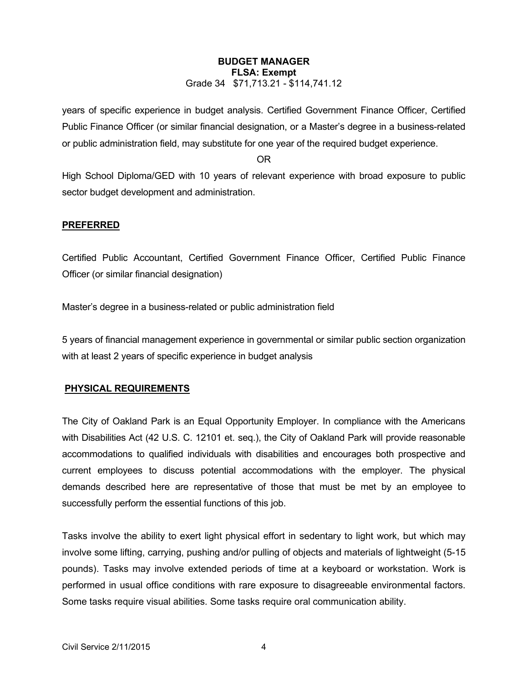years of specific experience in budget analysis. Certified Government Finance Officer, Certified Public Finance Officer (or similar financial designation, or a Master's degree in a business-related or public administration field, may substitute for one year of the required budget experience.

OR

High School Diploma/GED with 10 years of relevant experience with broad exposure to public sector budget development and administration.

## **PREFERRED**

Certified Public Accountant, Certified Government Finance Officer, Certified Public Finance Officer (or similar financial designation)

Master's degree in a business-related or public administration field

5 years of financial management experience in governmental or similar public section organization with at least 2 years of specific experience in budget analysis

# **PHYSICAL REQUIREMENTS**

The City of Oakland Park is an Equal Opportunity Employer. In compliance with the Americans with Disabilities Act (42 U.S. C. 12101 et. seq.), the City of Oakland Park will provide reasonable accommodations to qualified individuals with disabilities and encourages both prospective and current employees to discuss potential accommodations with the employer. The physical demands described here are representative of those that must be met by an employee to successfully perform the essential functions of this job.

Tasks involve the ability to exert light physical effort in sedentary to light work, but which may involve some lifting, carrying, pushing and/or pulling of objects and materials of lightweight (5-15 pounds). Tasks may involve extended periods of time at a keyboard or workstation. Work is performed in usual office conditions with rare exposure to disagreeable environmental factors. Some tasks require visual abilities. Some tasks require oral communication ability.